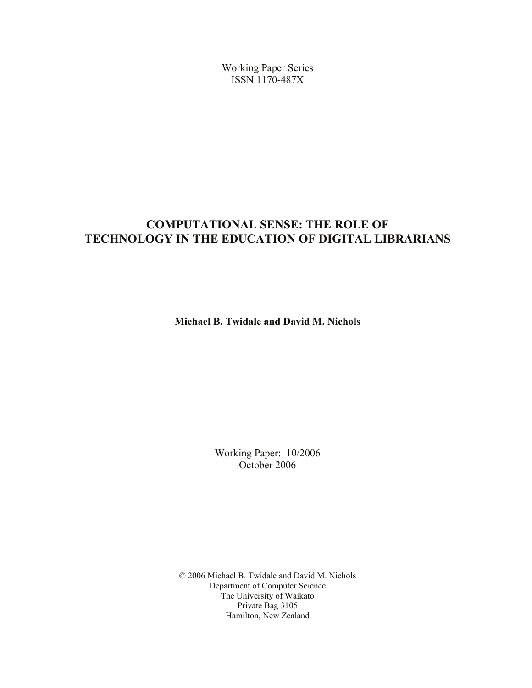Working Paper Series ISSN 1170-487X

## **COMPUTATIONAL SENSE: THE ROLE OF TECHNOLOGY IN THE EDUCATION OF DIGITAL LIBRARIANS**

**Michael B. Twidale and David M. Nichols** 

Working Paper: 10/2006 October 2006

© 2006 Michael B. Twidale and David M. Nichols Department of Computer Science The University of Waikato Private Bag 3105 Hamilton, New Zealand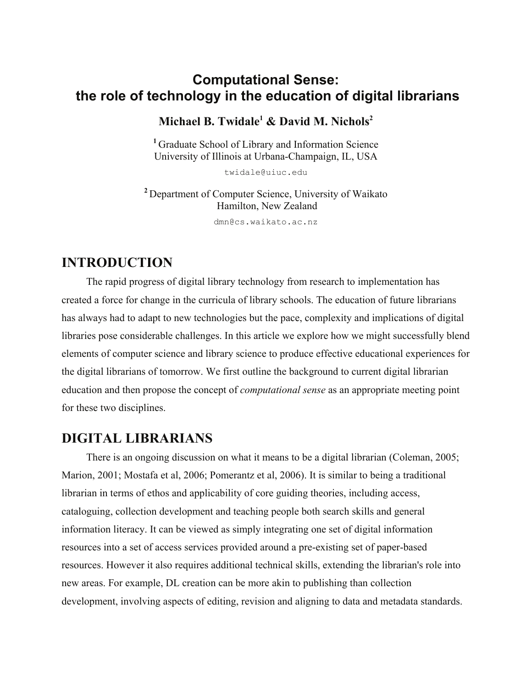# **Computational Sense: the role of technology in the education of digital librarians**

### **Michael B. Twidale1 & David M. Nichols2**

**<sup>1</sup>**Graduate School of Library and Information Science University of Illinois at Urbana-Champaign, IL, USA

twidale@uiuc.edu

**<sup>2</sup>**Department of Computer Science, University of Waikato Hamilton, New Zealand

dmn@cs.waikato.ac.nz

# **INTRODUCTION**

The rapid progress of digital library technology from research to implementation has created a force for change in the curricula of library schools. The education of future librarians has always had to adapt to new technologies but the pace, complexity and implications of digital libraries pose considerable challenges. In this article we explore how we might successfully blend elements of computer science and library science to produce effective educational experiences for the digital librarians of tomorrow. We first outline the background to current digital librarian education and then propose the concept of *computational sense* as an appropriate meeting point for these two disciplines.

# **DIGITAL LIBRARIANS**

There is an ongoing discussion on what it means to be a digital librarian (Coleman, 2005; Marion, 2001; Mostafa et al, 2006; Pomerantz et al, 2006). It is similar to being a traditional librarian in terms of ethos and applicability of core guiding theories, including access, cataloguing, collection development and teaching people both search skills and general information literacy. It can be viewed as simply integrating one set of digital information resources into a set of access services provided around a pre-existing set of paper-based resources. However it also requires additional technical skills, extending the librarian's role into new areas. For example, DL creation can be more akin to publishing than collection development, involving aspects of editing, revision and aligning to data and metadata standards.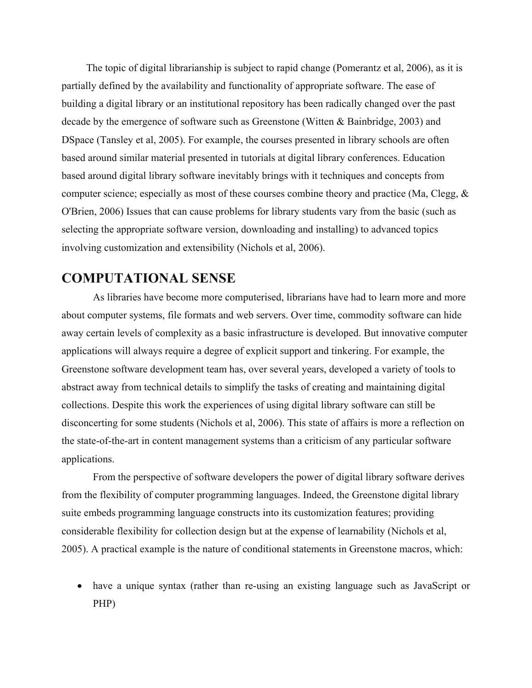The topic of digital librarianship is subject to rapid change (Pomerantz et al, 2006), as it is partially defined by the availability and functionality of appropriate software. The ease of building a digital library or an institutional repository has been radically changed over the past decade by the emergence of software such as Greenstone (Witten & Bainbridge, 2003) and DSpace (Tansley et al, 2005). For example, the courses presented in library schools are often based around similar material presented in tutorials at digital library conferences. Education based around digital library software inevitably brings with it techniques and concepts from computer science; especially as most of these courses combine theory and practice (Ma, Clegg, & O'Brien, 2006) Issues that can cause problems for library students vary from the basic (such as selecting the appropriate software version, downloading and installing) to advanced topics involving customization and extensibility (Nichols et al, 2006).

### **COMPUTATIONAL SENSE**

 As libraries have become more computerised, librarians have had to learn more and more about computer systems, file formats and web servers. Over time, commodity software can hide away certain levels of complexity as a basic infrastructure is developed. But innovative computer applications will always require a degree of explicit support and tinkering. For example, the Greenstone software development team has, over several years, developed a variety of tools to abstract away from technical details to simplify the tasks of creating and maintaining digital collections. Despite this work the experiences of using digital library software can still be disconcerting for some students (Nichols et al, 2006). This state of affairs is more a reflection on the state-of-the-art in content management systems than a criticism of any particular software applications.

 From the perspective of software developers the power of digital library software derives from the flexibility of computer programming languages. Indeed, the Greenstone digital library suite embeds programming language constructs into its customization features; providing considerable flexibility for collection design but at the expense of learnability (Nichols et al, 2005). A practical example is the nature of conditional statements in Greenstone macros, which:

• have a unique syntax (rather than re-using an existing language such as JavaScript or PHP)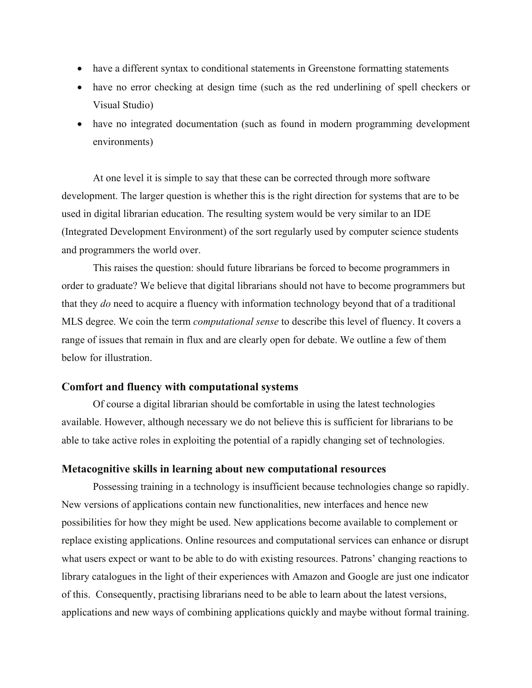- have a different syntax to conditional statements in Greenstone formatting statements
- have no error checking at design time (such as the red underlining of spell checkers or Visual Studio)
- have no integrated documentation (such as found in modern programming development environments)

 At one level it is simple to say that these can be corrected through more software development. The larger question is whether this is the right direction for systems that are to be used in digital librarian education. The resulting system would be very similar to an IDE (Integrated Development Environment) of the sort regularly used by computer science students and programmers the world over.

 This raises the question: should future librarians be forced to become programmers in order to graduate? We believe that digital librarians should not have to become programmers but that they *do* need to acquire a fluency with information technology beyond that of a traditional MLS degree. We coin the term *computational sense* to describe this level of fluency. It covers a range of issues that remain in flux and are clearly open for debate. We outline a few of them below for illustration.

#### **Comfort and fluency with computational systems**

 Of course a digital librarian should be comfortable in using the latest technologies available. However, although necessary we do not believe this is sufficient for librarians to be able to take active roles in exploiting the potential of a rapidly changing set of technologies.

#### **Metacognitive skills in learning about new computational resources**

 Possessing training in a technology is insufficient because technologies change so rapidly. New versions of applications contain new functionalities, new interfaces and hence new possibilities for how they might be used. New applications become available to complement or replace existing applications. Online resources and computational services can enhance or disrupt what users expect or want to be able to do with existing resources. Patrons' changing reactions to library catalogues in the light of their experiences with Amazon and Google are just one indicator of this. Consequently, practising librarians need to be able to learn about the latest versions, applications and new ways of combining applications quickly and maybe without formal training.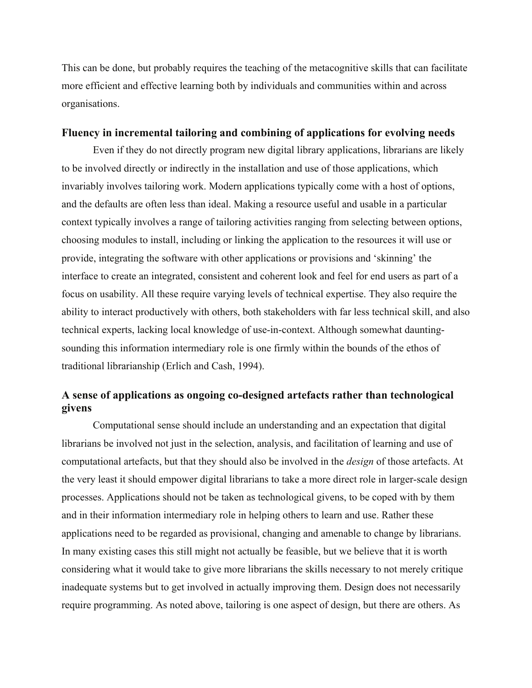This can be done, but probably requires the teaching of the metacognitive skills that can facilitate more efficient and effective learning both by individuals and communities within and across organisations.

#### **Fluency in incremental tailoring and combining of applications for evolving needs**

 Even if they do not directly program new digital library applications, librarians are likely to be involved directly or indirectly in the installation and use of those applications, which invariably involves tailoring work. Modern applications typically come with a host of options, and the defaults are often less than ideal. Making a resource useful and usable in a particular context typically involves a range of tailoring activities ranging from selecting between options, choosing modules to install, including or linking the application to the resources it will use or provide, integrating the software with other applications or provisions and 'skinning' the interface to create an integrated, consistent and coherent look and feel for end users as part of a focus on usability. All these require varying levels of technical expertise. They also require the ability to interact productively with others, both stakeholders with far less technical skill, and also technical experts, lacking local knowledge of use-in-context. Although somewhat dauntingsounding this information intermediary role is one firmly within the bounds of the ethos of traditional librarianship (Erlich and Cash, 1994).

### **A sense of applications as ongoing co-designed artefacts rather than technological givens**

 Computational sense should include an understanding and an expectation that digital librarians be involved not just in the selection, analysis, and facilitation of learning and use of computational artefacts, but that they should also be involved in the *design* of those artefacts. At the very least it should empower digital librarians to take a more direct role in larger-scale design processes. Applications should not be taken as technological givens, to be coped with by them and in their information intermediary role in helping others to learn and use. Rather these applications need to be regarded as provisional, changing and amenable to change by librarians. In many existing cases this still might not actually be feasible, but we believe that it is worth considering what it would take to give more librarians the skills necessary to not merely critique inadequate systems but to get involved in actually improving them. Design does not necessarily require programming. As noted above, tailoring is one aspect of design, but there are others. As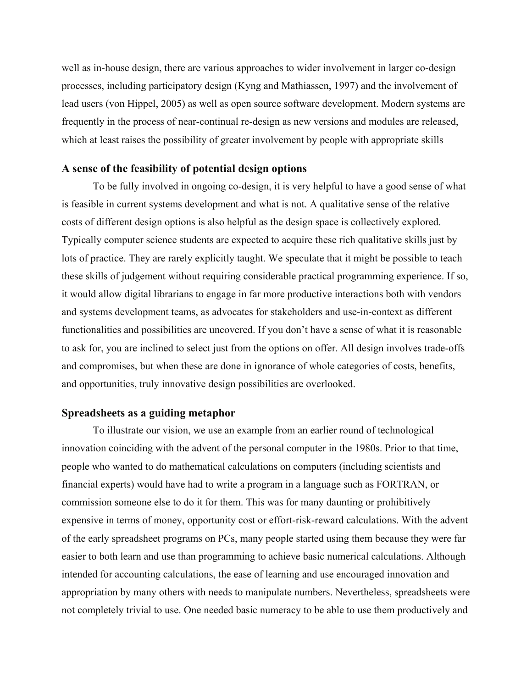well as in-house design, there are various approaches to wider involvement in larger co-design processes, including participatory design (Kyng and Mathiassen, 1997) and the involvement of lead users (von Hippel, 2005) as well as open source software development. Modern systems are frequently in the process of near-continual re-design as new versions and modules are released, which at least raises the possibility of greater involvement by people with appropriate skills

#### **A sense of the feasibility of potential design options**

 To be fully involved in ongoing co-design, it is very helpful to have a good sense of what is feasible in current systems development and what is not. A qualitative sense of the relative costs of different design options is also helpful as the design space is collectively explored. Typically computer science students are expected to acquire these rich qualitative skills just by lots of practice. They are rarely explicitly taught. We speculate that it might be possible to teach these skills of judgement without requiring considerable practical programming experience. If so, it would allow digital librarians to engage in far more productive interactions both with vendors and systems development teams, as advocates for stakeholders and use-in-context as different functionalities and possibilities are uncovered. If you don't have a sense of what it is reasonable to ask for, you are inclined to select just from the options on offer. All design involves trade-offs and compromises, but when these are done in ignorance of whole categories of costs, benefits, and opportunities, truly innovative design possibilities are overlooked.

#### **Spreadsheets as a guiding metaphor**

 To illustrate our vision, we use an example from an earlier round of technological innovation coinciding with the advent of the personal computer in the 1980s. Prior to that time, people who wanted to do mathematical calculations on computers (including scientists and financial experts) would have had to write a program in a language such as FORTRAN, or commission someone else to do it for them. This was for many daunting or prohibitively expensive in terms of money, opportunity cost or effort-risk-reward calculations. With the advent of the early spreadsheet programs on PCs, many people started using them because they were far easier to both learn and use than programming to achieve basic numerical calculations. Although intended for accounting calculations, the ease of learning and use encouraged innovation and appropriation by many others with needs to manipulate numbers. Nevertheless, spreadsheets were not completely trivial to use. One needed basic numeracy to be able to use them productively and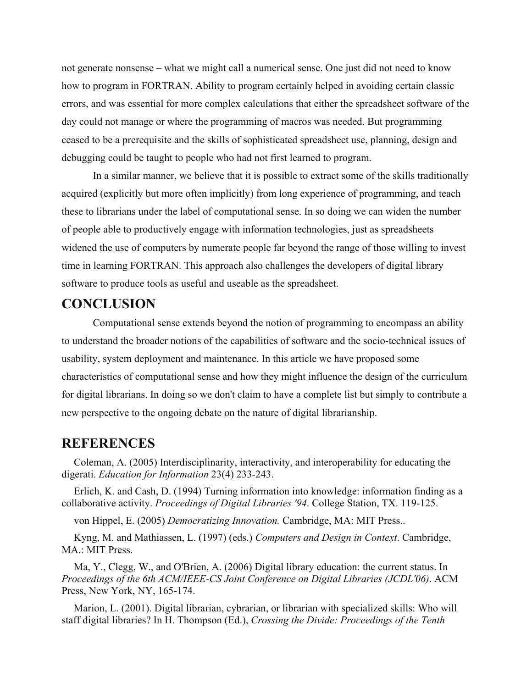not generate nonsense – what we might call a numerical sense. One just did not need to know how to program in FORTRAN. Ability to program certainly helped in avoiding certain classic errors, and was essential for more complex calculations that either the spreadsheet software of the day could not manage or where the programming of macros was needed. But programming ceased to be a prerequisite and the skills of sophisticated spreadsheet use, planning, design and debugging could be taught to people who had not first learned to program.

 In a similar manner, we believe that it is possible to extract some of the skills traditionally acquired (explicitly but more often implicitly) from long experience of programming, and teach these to librarians under the label of computational sense. In so doing we can widen the number of people able to productively engage with information technologies, just as spreadsheets widened the use of computers by numerate people far beyond the range of those willing to invest time in learning FORTRAN. This approach also challenges the developers of digital library software to produce tools as useful and useable as the spreadsheet.

## **CONCLUSION**

 Computational sense extends beyond the notion of programming to encompass an ability to understand the broader notions of the capabilities of software and the socio-technical issues of usability, system deployment and maintenance. In this article we have proposed some characteristics of computational sense and how they might influence the design of the curriculum for digital librarians. In doing so we don't claim to have a complete list but simply to contribute a new perspective to the ongoing debate on the nature of digital librarianship.

## **REFERENCES**

Coleman, A. (2005) Interdisciplinarity, interactivity, and interoperability for educating the digerati. *Education for Information* 23(4) 233-243.

Erlich, K. and Cash, D. (1994) Turning information into knowledge: information finding as a collaborative activity. *Proceedings of Digital Libraries '94*. College Station, TX. 119-125.

von Hippel, E. (2005) *Democratizing Innovation.* Cambridge, MA: MIT Press..

Kyng, M. and Mathiassen, L. (1997) (eds.) *Computers and Design in Context*. Cambridge, MA.: MIT Press.

Ma, Y., Clegg, W., and O'Brien, A. (2006) Digital library education: the current status. In *Proceedings of the 6th ACM/IEEE-CS Joint Conference on Digital Libraries (JCDL'06)*. ACM Press, New York, NY, 165-174.

Marion, L. (2001). Digital librarian, cybrarian, or librarian with specialized skills: Who will staff digital libraries? In H. Thompson (Ed.), *Crossing the Divide: Proceedings of the Tenth*